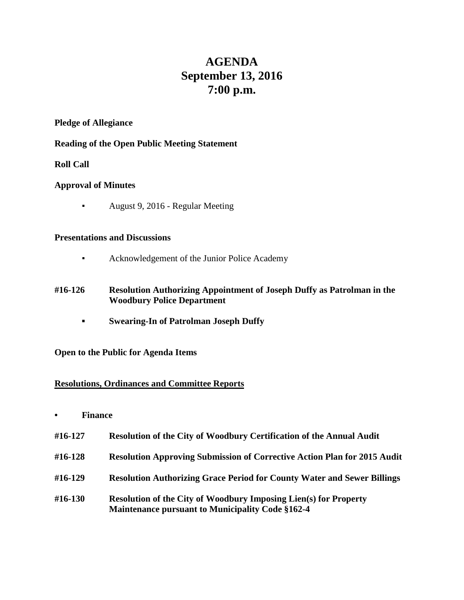# **AGENDA September 13, 2016 7:00 p.m.**

#### **Pledge of Allegiance**

## **Reading of the Open Public Meeting Statement**

## **Roll Call**

## **Approval of Minutes**

▪ August 9, 2016 - Regular Meeting

#### **Presentations and Discussions**

- Acknowledgement of the Junior Police Academy
- **#16-126 Resolution Authorizing Appointment of Joseph Duffy as Patrolman in the Woodbury Police Department**
	- **▪ Swearing-In of Patrolman Joseph Duffy**

**Open to the Public for Agenda Items**

## **Resolutions, Ordinances and Committee Reports**

- **• Finance**
- **#16-127 Resolution of the City of Woodbury Certification of the Annual Audit**
- **#16-128 Resolution Approving Submission of Corrective Action Plan for 2015 Audit**
- **#16-129 Resolution Authorizing Grace Period for County Water and Sewer Billings**
- **#16-130 Resolution of the City of Woodbury Imposing Lien(s) for Property Maintenance pursuant to Municipality Code §162-4**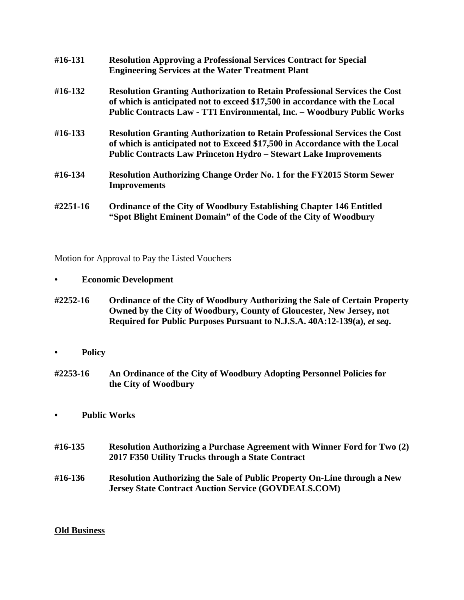| #16-131  | <b>Resolution Approving a Professional Services Contract for Special</b><br><b>Engineering Services at the Water Treatment Plant</b>                                                                                                              |
|----------|---------------------------------------------------------------------------------------------------------------------------------------------------------------------------------------------------------------------------------------------------|
| #16-132  | <b>Resolution Granting Authorization to Retain Professional Services the Cost</b><br>of which is anticipated not to exceed \$17,500 in accordance with the Local<br><b>Public Contracts Law - TTI Environmental, Inc. - Woodbury Public Works</b> |
| #16-133  | <b>Resolution Granting Authorization to Retain Professional Services the Cost</b><br>of which is anticipated not to Exceed \$17,500 in Accordance with the Local<br><b>Public Contracts Law Princeton Hydro - Stewart Lake Improvements</b>       |
| #16-134  | <b>Resolution Authorizing Change Order No. 1 for the FY2015 Storm Sewer</b><br><b>Improvements</b>                                                                                                                                                |
| #2251-16 | <b>Ordinance of the City of Woodbury Establishing Chapter 146 Entitled</b><br>"Spot Blight Eminent Domain" of the Code of the City of Woodbury                                                                                                    |

Motion for Approval to Pay the Listed Vouchers

- **• Economic Development**
- **#2252-16 Ordinance of the City of Woodbury Authorizing the Sale of Certain Property Owned by the City of Woodbury, County of Gloucester, New Jersey, not Required for Public Purposes Pursuant to N.J.S.A. 40A:12-139(a),** *et seq***.**
- **• Policy**
- **#2253-16 An Ordinance of the City of Woodbury Adopting Personnel Policies for the City of Woodbury**
- **• Public Works**
- **#16-135 Resolution Authorizing a Purchase Agreement with Winner Ford for Two (2) 2017 F350 Utility Trucks through a State Contract**
- **#16-136 Resolution Authorizing the Sale of Public Property On-Line through a New Jersey State Contract Auction Service (GOVDEALS.COM)**

#### **Old Business**